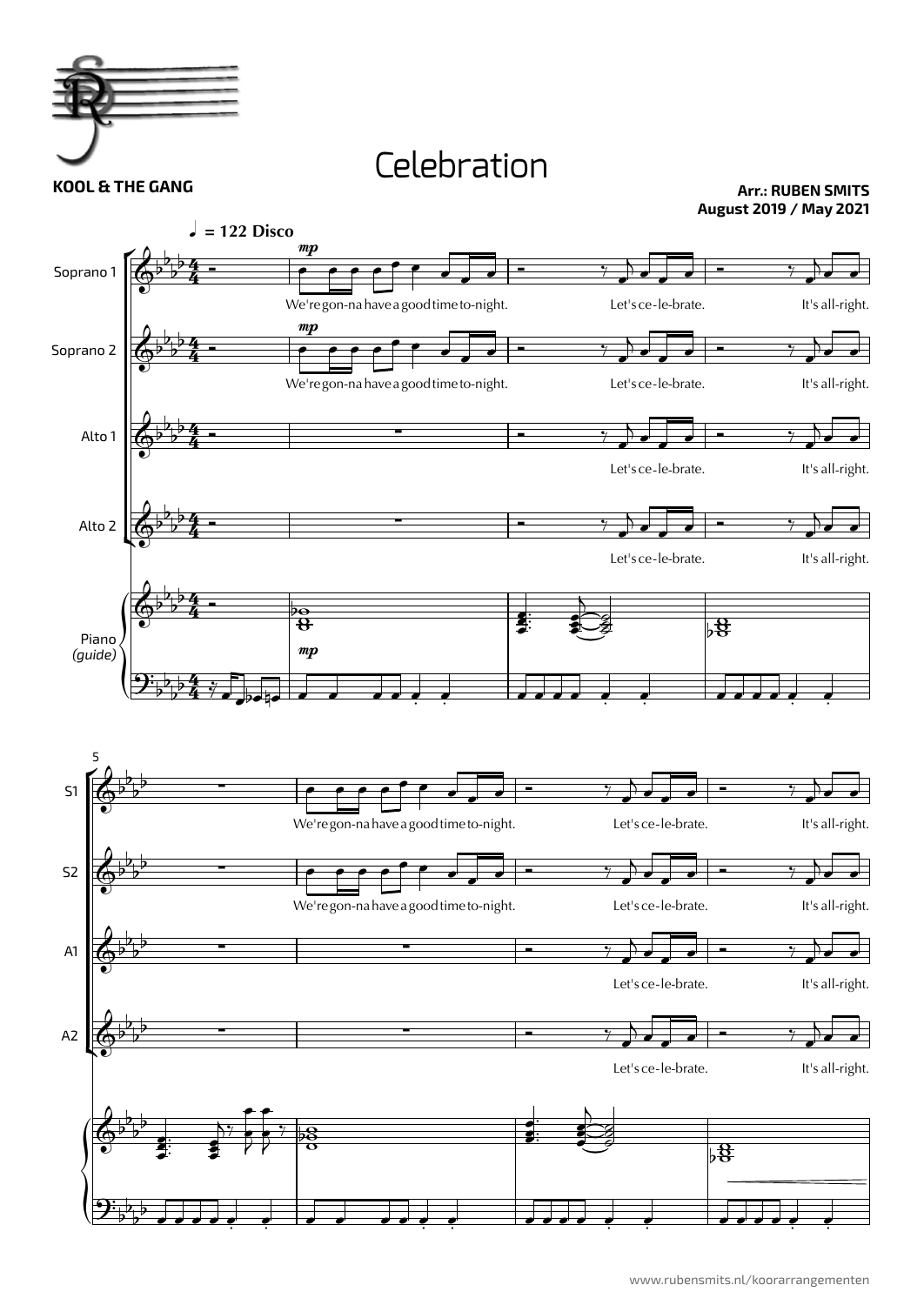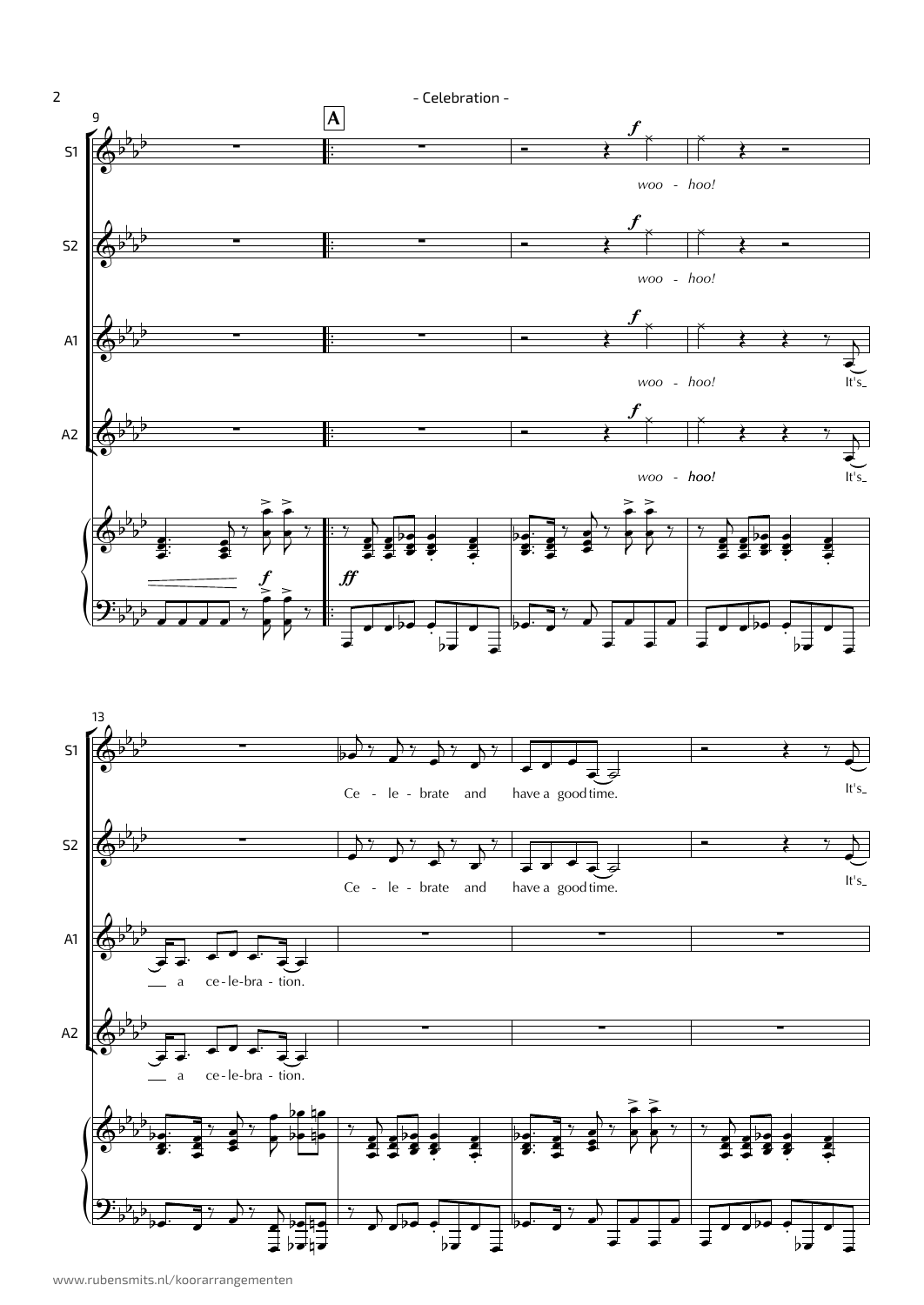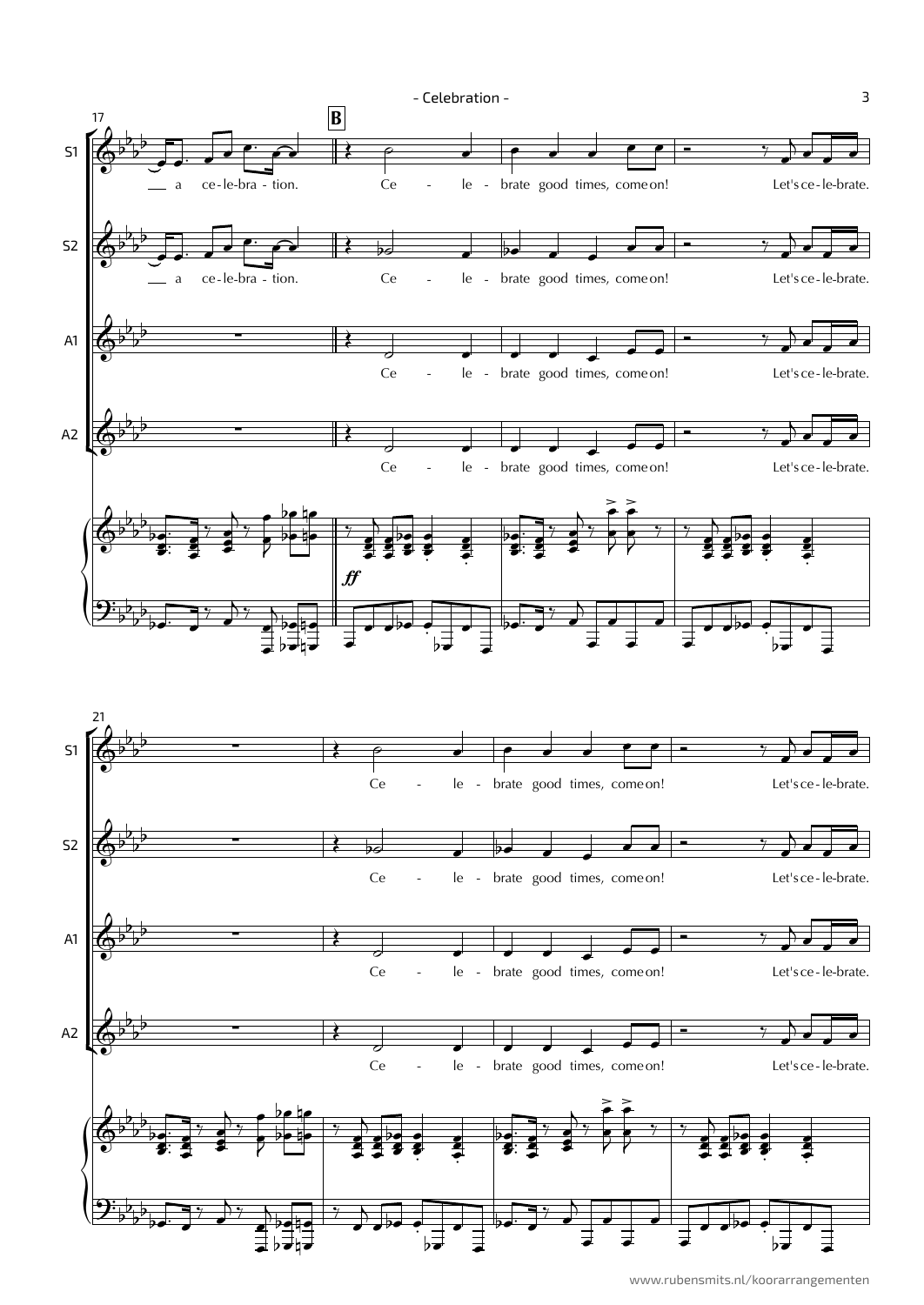

www.rubensmits.nl/koorarrangementen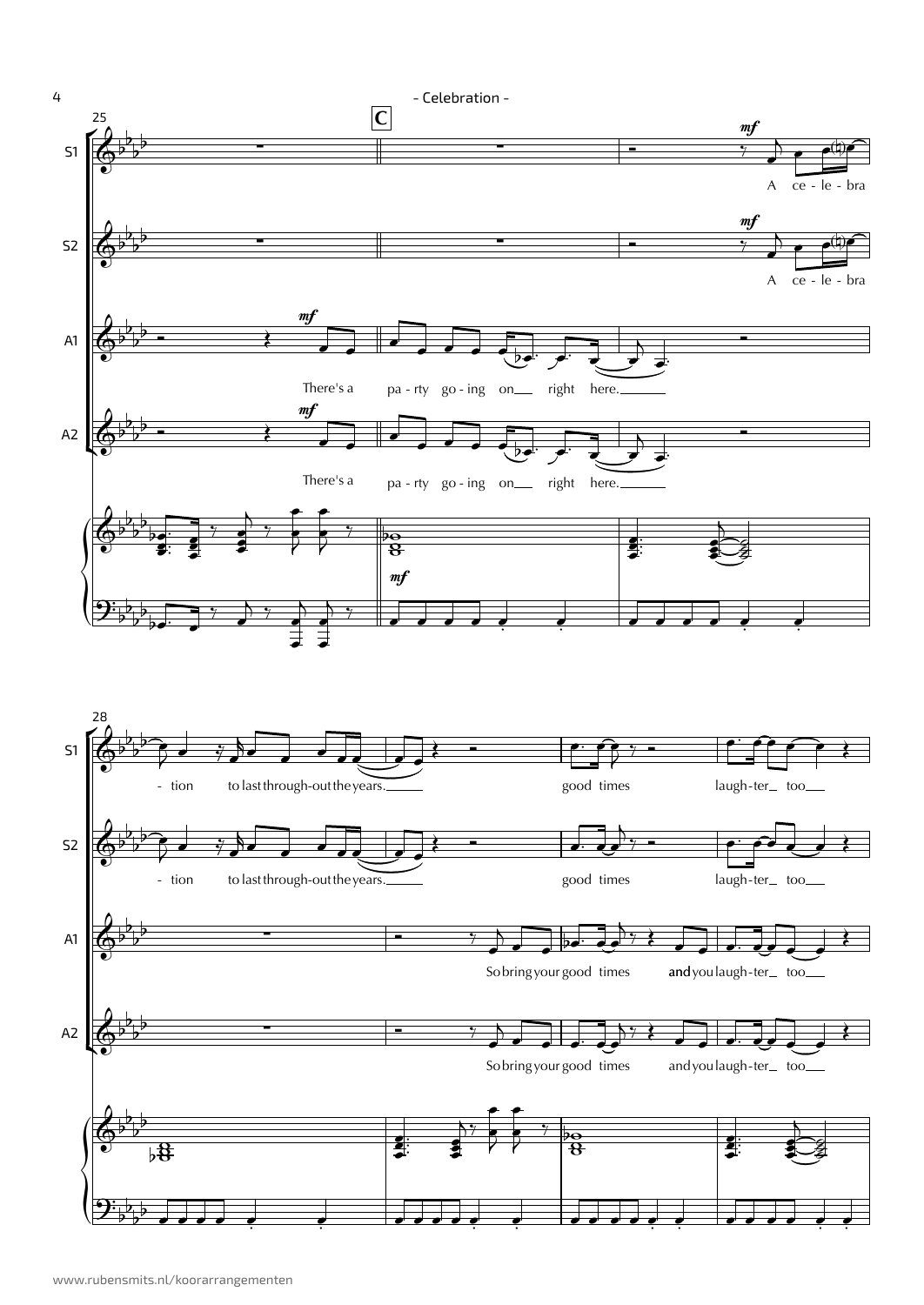